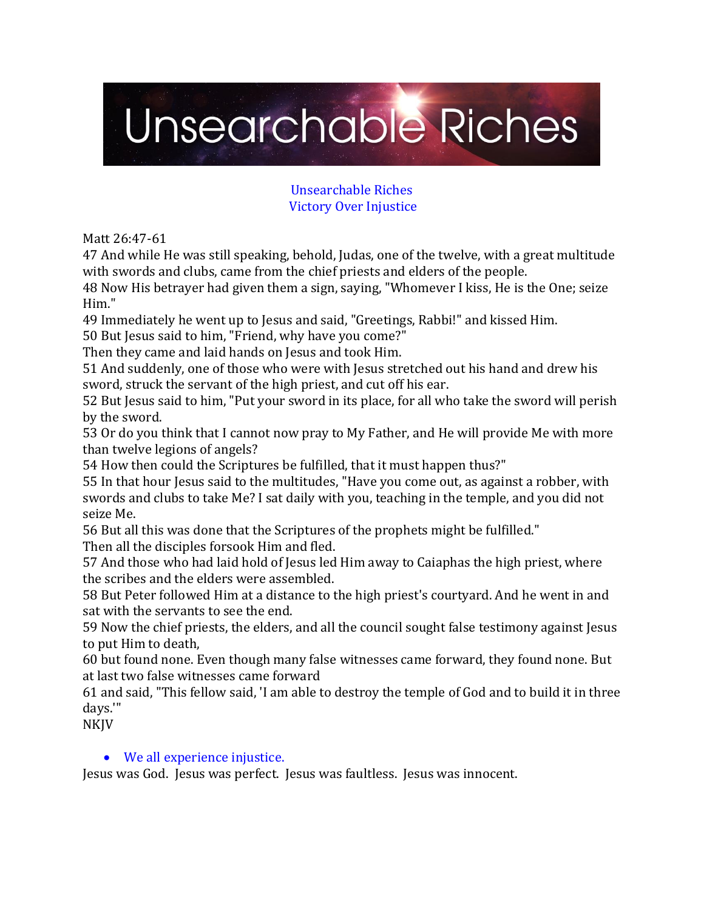# Unsearchable Riches

## Unsearchable Riches Victory Over Injustice

Matt 26:47-61

47 And while He was still speaking, behold, Judas, one of the twelve, with a great multitude with swords and clubs, came from the chief priests and elders of the people.

48 Now His betrayer had given them a sign, saying, "Whomever I kiss, He is the One; seize Him."

49 Immediately he went up to Jesus and said, "Greetings, Rabbi!" and kissed Him.

50 But Jesus said to him, "Friend, why have you come?"

Then they came and laid hands on Jesus and took Him.

51 And suddenly, one of those who were with Jesus stretched out his hand and drew his sword, struck the servant of the high priest, and cut off his ear.

52 But Jesus said to him, "Put your sword in its place, for all who take the sword will perish by the sword.

53 Or do you think that I cannot now pray to My Father, and He will provide Me with more than twelve legions of angels?

54 How then could the Scriptures be fulfilled, that it must happen thus?"

55 In that hour Jesus said to the multitudes, "Have you come out, as against a robber, with swords and clubs to take Me? I sat daily with you, teaching in the temple, and you did not seize Me.

56 But all this was done that the Scriptures of the prophets might be fulfilled." Then all the disciples forsook Him and fled.

57 And those who had laid hold of Jesus led Him away to Caiaphas the high priest, where the scribes and the elders were assembled.

58 But Peter followed Him at a distance to the high priest's courtyard. And he went in and sat with the servants to see the end.

59 Now the chief priests, the elders, and all the council sought false testimony against Jesus to put Him to death,

60 but found none. Even though many false witnesses came forward, they found none. But at last two false witnesses came forward

61 and said, "This fellow said, 'I am able to destroy the temple of God and to build it in three days.'"

NKJV

# • We all experience injustice.

Jesus was God. Jesus was perfect. Jesus was faultless. Jesus was innocent.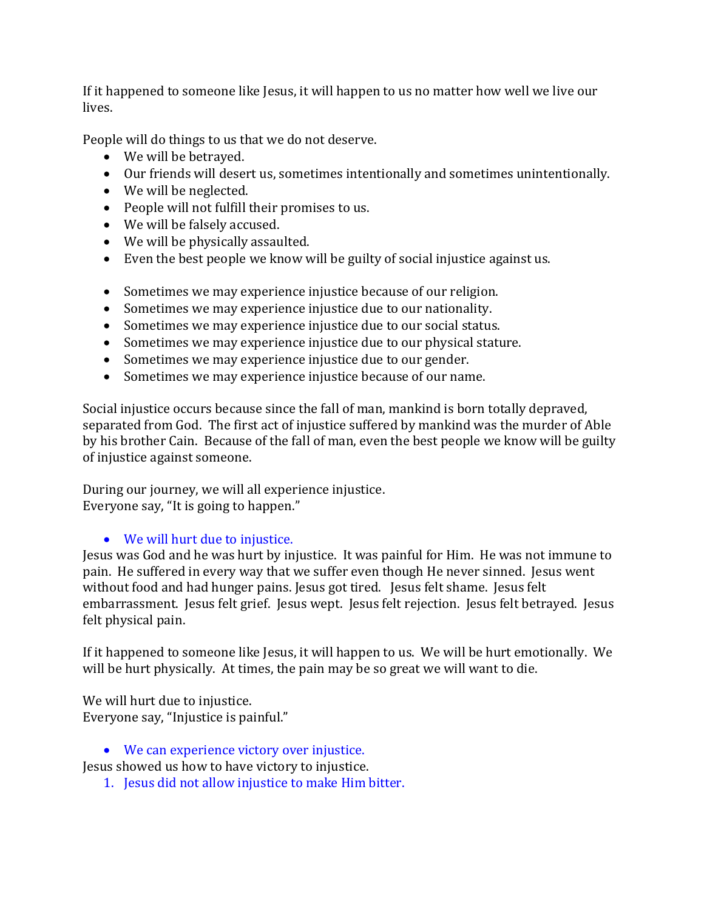If it happened to someone like Jesus, it will happen to us no matter how well we live our lives.

People will do things to us that we do not deserve.

- We will be betrayed.
- Our friends will desert us, sometimes intentionally and sometimes unintentionally.
- We will be neglected.
- People will not fulfill their promises to us.
- We will be falsely accused.
- We will be physically assaulted.
- Even the best people we know will be guilty of social injustice against us.
- Sometimes we may experience injustice because of our religion.
- Sometimes we may experience injustice due to our nationality.
- Sometimes we may experience injustice due to our social status.
- Sometimes we may experience injustice due to our physical stature.
- Sometimes we may experience injustice due to our gender.
- Sometimes we may experience injustice because of our name.

Social injustice occurs because since the fall of man, mankind is born totally depraved, separated from God. The first act of injustice suffered by mankind was the murder of Able by his brother Cain. Because of the fall of man, even the best people we know will be guilty of injustice against someone.

During our journey, we will all experience injustice. Everyone say, "It is going to happen."

# • We will hurt due to injustice.

Jesus was God and he was hurt by injustice. It was painful for Him. He was not immune to pain. He suffered in every way that we suffer even though He never sinned. Jesus went without food and had hunger pains. Jesus got tired. Jesus felt shame. Jesus felt embarrassment. Jesus felt grief. Jesus wept. Jesus felt rejection. Jesus felt betrayed. Jesus felt physical pain.

If it happened to someone like Jesus, it will happen to us. We will be hurt emotionally. We will be hurt physically. At times, the pain may be so great we will want to die.

We will hurt due to injustice. Everyone say, "Injustice is painful."

• We can experience victory over injustice.

Jesus showed us how to have victory to injustice.

1. Jesus did not allow injustice to make Him bitter.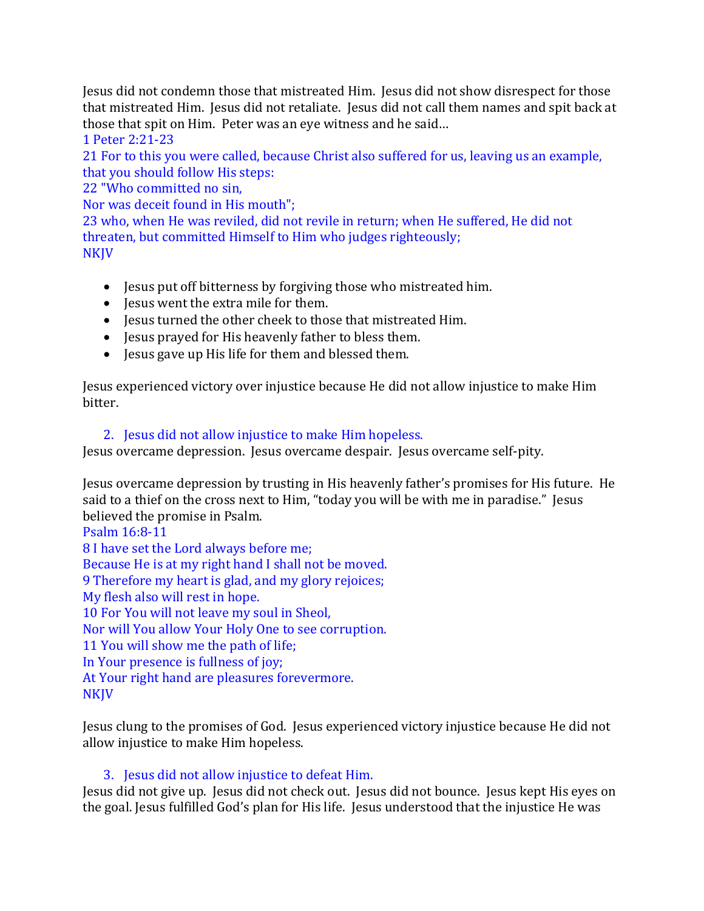Jesus did not condemn those that mistreated Him. Jesus did not show disrespect for those that mistreated Him. Jesus did not retaliate. Jesus did not call them names and spit back at those that spit on Him. Peter was an eye witness and he said…

1 Peter 2:21-23

21 For to this you were called, because Christ also suffered for us, leaving us an example, that you should follow His steps:

22 "Who committed no sin,

Nor was deceit found in His mouth";

23 who, when He was reviled, did not revile in return; when He suffered, He did not threaten, but committed Himself to Him who judges righteously; NKJV

- Jesus put off bitterness by forgiving those who mistreated him.
- Jesus went the extra mile for them.
- Jesus turned the other cheek to those that mistreated Him.
- Jesus prayed for His heavenly father to bless them.
- Jesus gave up His life for them and blessed them.

Jesus experienced victory over injustice because He did not allow injustice to make Him bitter.

#### 2. Jesus did not allow injustice to make Him hopeless.

Jesus overcame depression. Jesus overcame despair. Jesus overcame self-pity.

Jesus overcame depression by trusting in His heavenly father's promises for His future. He said to a thief on the cross next to Him, "today you will be with me in paradise." Jesus believed the promise in Psalm.

Psalm 16:8-11

8 I have set the Lord always before me;

Because He is at my right hand I shall not be moved.

9 Therefore my heart is glad, and my glory rejoices;

My flesh also will rest in hope.

10 For You will not leave my soul in Sheol,

Nor will You allow Your Holy One to see corruption.

11 You will show me the path of life;

In Your presence is fullness of joy;

At Your right hand are pleasures forevermore.

NKJV

Jesus clung to the promises of God. Jesus experienced victory injustice because He did not allow injustice to make Him hopeless.

# 3. Jesus did not allow injustice to defeat Him.

Jesus did not give up. Jesus did not check out. Jesus did not bounce. Jesus kept His eyes on the goal. Jesus fulfilled God's plan for His life. Jesus understood that the injustice He was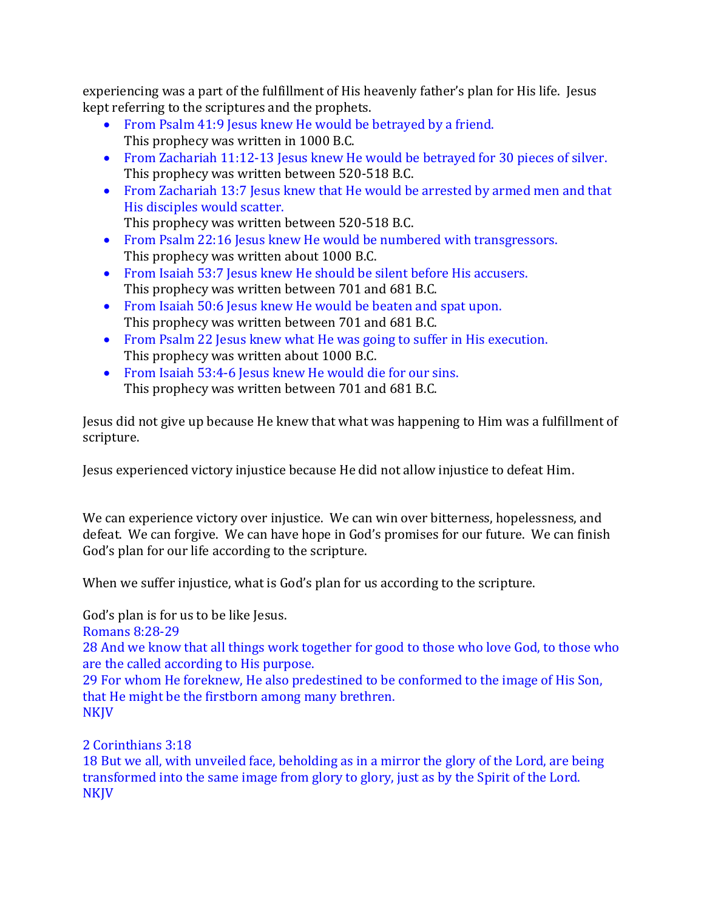experiencing was a part of the fulfillment of His heavenly father's plan for His life. Jesus kept referring to the scriptures and the prophets.

- From Psalm 41:9 Jesus knew He would be betrayed by a friend. This prophecy was written in 1000 B.C.
- From Zachariah 11:12-13 Jesus knew He would be betrayed for 30 pieces of silver. This prophecy was written between 520-518 B.C.
- From Zachariah 13:7 Jesus knew that He would be arrested by armed men and that His disciples would scatter.
	- This prophecy was written between 520-518 B.C.
- From Psalm 22:16 Jesus knew He would be numbered with transgressors. This prophecy was written about 1000 B.C.
- From Isaiah 53:7 Jesus knew He should be silent before His accusers. This prophecy was written between 701 and 681 B.C.
- From Isaiah 50:6 Jesus knew He would be beaten and spat upon. This prophecy was written between 701 and 681 B.C.
- From Psalm 22 Jesus knew what He was going to suffer in His execution. This prophecy was written about 1000 B.C.
- From Isaiah 53:4-6 Jesus knew He would die for our sins. This prophecy was written between 701 and 681 B.C.

Jesus did not give up because He knew that what was happening to Him was a fulfillment of scripture.

Jesus experienced victory injustice because He did not allow injustice to defeat Him.

We can experience victory over injustice. We can win over bitterness, hopelessness, and defeat. We can forgive. We can have hope in God's promises for our future. We can finish God's plan for our life according to the scripture.

When we suffer injustice, what is God's plan for us according to the scripture.

God's plan is for us to be like Jesus.

Romans 8:28-29

28 And we know that all things work together for good to those who love God, to those who are the called according to His purpose.

29 For whom He foreknew, He also predestined to be conformed to the image of His Son, that He might be the firstborn among many brethren. **NKJV** 

2 Corinthians 3:18

18 But we all, with unveiled face, beholding as in a mirror the glory of the Lord, are being transformed into the same image from glory to glory, just as by the Spirit of the Lord. **NKJV**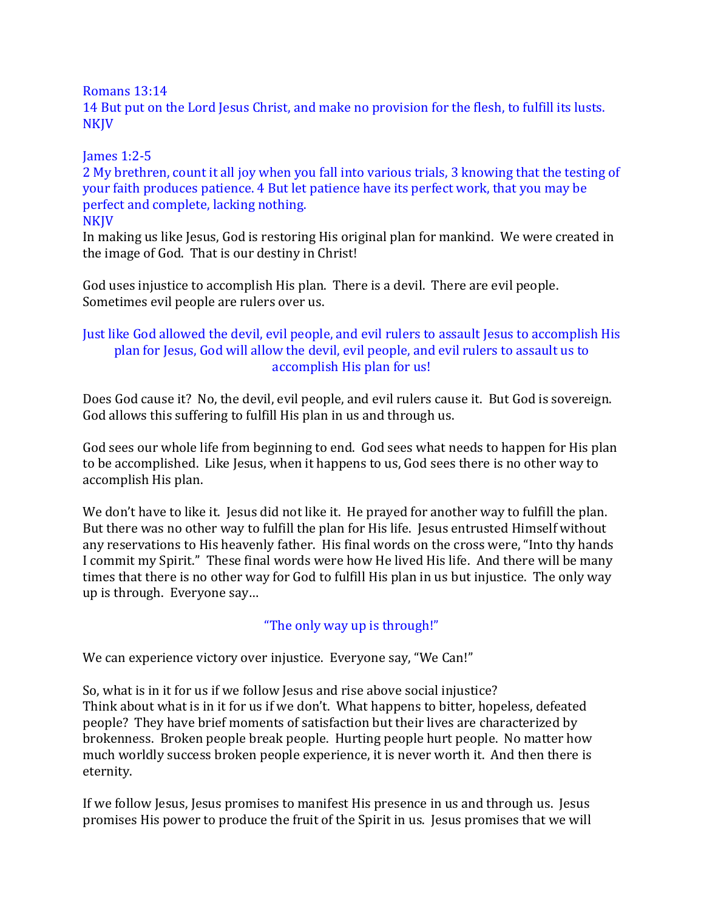Romans 13:14

14 But put on the Lord Jesus Christ, and make no provision for the flesh, to fulfill its lusts. NKJV

## James 1:2-5

2 My brethren, count it all joy when you fall into various trials, 3 knowing that the testing of your faith produces patience. 4 But let patience have its perfect work, that you may be perfect and complete, lacking nothing.

**NKJV** 

In making us like Jesus, God is restoring His original plan for mankind. We were created in the image of God. That is our destiny in Christ!

God uses injustice to accomplish His plan. There is a devil. There are evil people. Sometimes evil people are rulers over us.

## Just like God allowed the devil, evil people, and evil rulers to assault Jesus to accomplish His plan for Jesus, God will allow the devil, evil people, and evil rulers to assault us to accomplish His plan for us!

Does God cause it? No, the devil, evil people, and evil rulers cause it. But God is sovereign. God allows this suffering to fulfill His plan in us and through us.

God sees our whole life from beginning to end. God sees what needs to happen for His plan to be accomplished. Like Jesus, when it happens to us, God sees there is no other way to accomplish His plan.

We don't have to like it. Jesus did not like it. He prayed for another way to fulfill the plan. But there was no other way to fulfill the plan for His life. Jesus entrusted Himself without any reservations to His heavenly father. His final words on the cross were, "Into thy hands I commit my Spirit." These final words were how He lived His life. And there will be many times that there is no other way for God to fulfill His plan in us but injustice. The only way up is through. Everyone say…

# "The only way up is through!"

We can experience victory over injustice. Everyone say, "We Can!"

So, what is in it for us if we follow Jesus and rise above social injustice? Think about what is in it for us if we don't. What happens to bitter, hopeless, defeated people? They have brief moments of satisfaction but their lives are characterized by brokenness. Broken people break people. Hurting people hurt people. No matter how much worldly success broken people experience, it is never worth it. And then there is eternity.

If we follow Jesus, Jesus promises to manifest His presence in us and through us. Jesus promises His power to produce the fruit of the Spirit in us. Jesus promises that we will